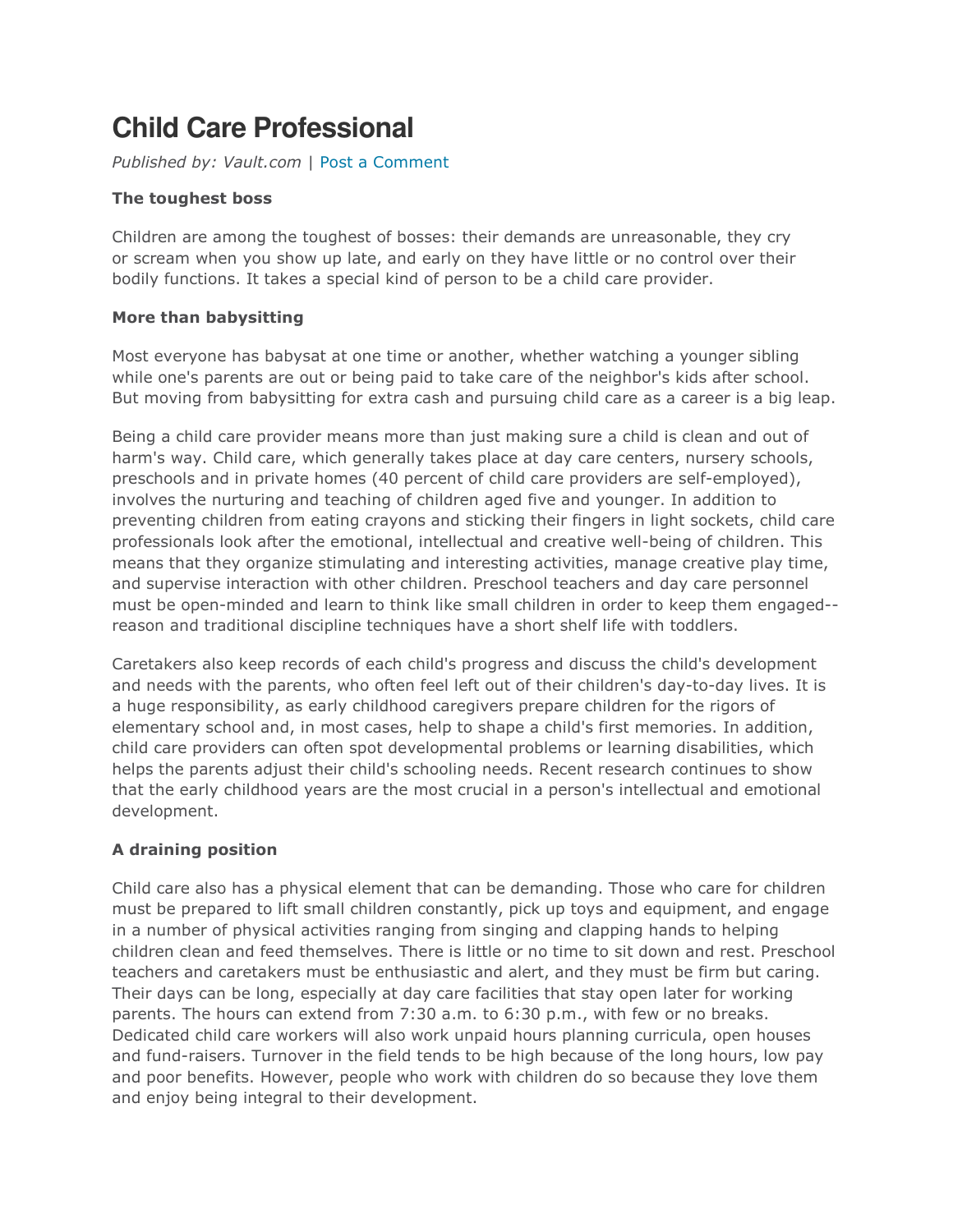# **Child Care Professional**

Published by: Vault.com | Post a Comment

## The toughest boss

Children are among the toughest of bosses: their demands are unreasonable, they cry or scream when you show up late, and early on they have little or no control over their bodily functions. It takes a special kind of person to be a child care provider.

## More than babysitting

Most everyone has babysat at one time or another, whether watching a younger sibling while one's parents are out or being paid to take care of the neighbor's kids after school. But moving from babysitting for extra cash and pursuing child care as a career is a big leap.

Being a child care provider means more than just making sure a child is clean and out of harm's way. Child care, which generally takes place at day care centers, nursery schools, preschools and in private homes (40 percent of child care providers are self-employed), involves the nurturing and teaching of children aged five and younger. In addition to preventing children from eating crayons and sticking their fingers in light sockets, child care professionals look after the emotional, intellectual and creative well-being of children. This means that they organize stimulating and interesting activities, manage creative play time, and supervise interaction with other children. Preschool teachers and day care personnel must be open-minded and learn to think like small children in order to keep them engaged- reason and traditional discipline techniques have a short shelf life with toddlers.

Caretakers also keep records of each child's progress and discuss the child's development and needs with the parents, who often feel left out of their children's day-to-day lives. It is a huge responsibility, as early childhood caregivers prepare children for the rigors of elementary school and, in most cases, help to shape a child's first memories. In addition, child care providers can often spot developmental problems or learning disabilities, which helps the parents adjust their child's schooling needs. Recent research continues to show that the early childhood years are the most crucial in a person's intellectual and emotional development.

## A draining position

Child care also has a physical element that can be demanding. Those who care for children must be prepared to lift small children constantly, pick up toys and equipment, and engage in a number of physical activities ranging from singing and clapping hands to helping children clean and feed themselves. There is little or no time to sit down and rest. Preschool teachers and caretakers must be enthusiastic and alert, and they must be firm but caring. Their days can be long, especially at day care facilities that stay open later for working parents. The hours can extend from 7:30 a.m. to 6:30 p.m., with few or no breaks. Dedicated child care workers will also work unpaid hours planning curricula, open houses and fund-raisers. Turnover in the field tends to be high because of the long hours, low pay and poor benefits. However, people who work with children do so because they love them and enjoy being integral to their development.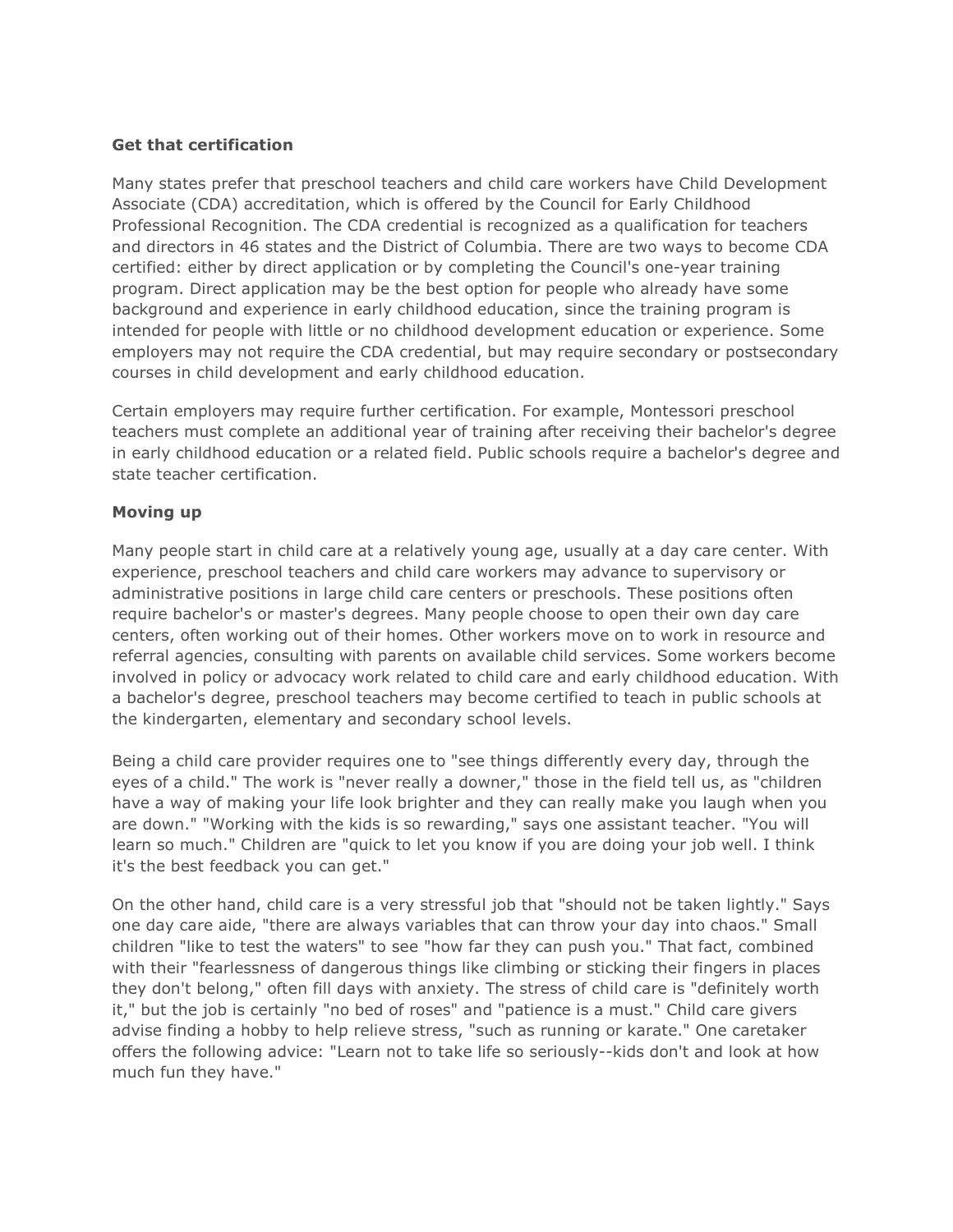#### Get that certification

Many states prefer that preschool teachers and child care workers have Child Development Associate (CDA) accreditation, which is offered by the Council for Early Childhood Professional Recognition. The CDA credential is recognized as a qualification for teachers and directors in 46 states and the District of Columbia. There are two ways to become CDA certified: either by direct application or by completing the Council's one-year training program. Direct application may be the best option for people who already have some background and experience in early childhood education, since the training program is intended for people with little or no childhood development education or experience. Some employers may not require the CDA credential, but may require secondary or postsecondary courses in child development and early childhood education.

Certain employers may require further certification. For example, Montessori preschool teachers must complete an additional year of training after receiving their bachelor's degree in early childhood education or a related field. Public schools require a bachelor's degree and state teacher certification.

#### Moving up

Many people start in child care at a relatively young age, usually at a day care center. With experience, preschool teachers and child care workers may advance to supervisory or administrative positions in large child care centers or preschools. These positions often require bachelor's or master's degrees. Many people choose to open their own day care centers, often working out of their homes. Other workers move on to work in resource and referral agencies, consulting with parents on available child services. Some workers become involved in policy or advocacy work related to child care and early childhood education. With a bachelor's degree, preschool teachers may become certified to teach in public schools at the kindergarten, elementary and secondary school levels.

Being a child care provider requires one to "see things differently every day, through the eyes of a child." The work is "never really a downer," those in the field tell us, as "children have a way of making your life look brighter and they can really make you laugh when you are down." "Working with the kids is so rewarding," says one assistant teacher. "You will learn so much." Children are "quick to let you know if you are doing your job well. I think it's the best feedback you can get."

On the other hand, child care is a very stressful job that "should not be taken lightly." Says one day care aide, "there are always variables that can throw your day into chaos." Small children "like to test the waters" to see "how far they can push you." That fact, combined with their "fearlessness of dangerous things like climbing or sticking their fingers in places they don't belong," often fill days with anxiety. The stress of child care is "definitely worth it," but the job is certainly "no bed of roses" and "patience is a must." Child care givers advise finding a hobby to help relieve stress, "such as running or karate." One caretaker offers the following advice: "Learn not to take life so seriously--kids don't and look at how much fun they have."